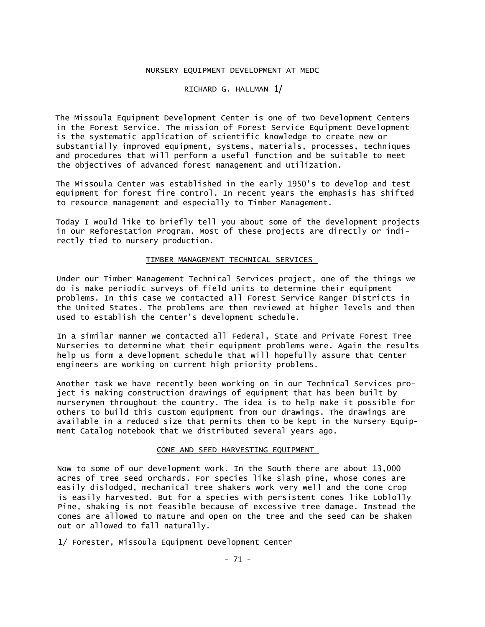## NURSERY EQUIPMENT DEVELOPMENT AT MEDC

RICHARD G. HALLMAN 1/

The Missoula Equipment Development Center is one of two Development Centers in the Forest Service. The mission of Forest Service Equipment Development is the systematic application of scientific knowledge to create new or substantially improved equipment, systems, materials, processes, techniques and procedures that will perform a useful function and be suitable to meet the objectives of advanced forest management and utilization.

The Missoula Center was established in the early 1950's to develop and test equipment for forest fire control. In recent years the emphasis has shifted to resource management and especially to Timber Management.

Today I would like to briefly tell you about some of the development projects in our Reforestation Program. Most of these projects are directly or indirectly tied to nursery production.

## TIMBER MANAGEMENT TECHNICAL SERVICES

Under our Timber Management Technical Services project, one of the things we do is make periodic surveys of field units to determine their equipment problems. In this case we contacted all Forest Service Ranger Districts in the United States. The problems are then reviewed at higher levels and then used to establish the Center's development schedule.

In a similar manner we contacted all Federal, State and Private Forest Tree Nurseries to determine what their equipment problems were. Again the results help us form a development schedule that will hopefully assure that Center engineers are working on current high priority problems.

Another task we have recently been working on in our Technical Services project is making construction drawings of equipment that has been built by nurserymen throughout the country. The idea is to help make it possible for others to build this custom equipment from our drawings. The drawings are available in a reduced size that permits them to be kept in the Nursery Equipment Catalog notebook that we distributed several years ago.

## CONE AND SEED HARVESTING EQUIPMENT

Now to some of our development work. In the South there are about 13,000 acres of tree seed orchards. For species like slash pine, whose cones are easily dislodged, mechanical tree shakers work very well and the cone crop is easily harvested. But for a species with persistent cones like Loblolly Pine, shaking is not feasible because of excessive tree damage. Instead the cones are allowed to mature and open on the tree and the seed can be shaken out or allowed to fall naturally.

<sup>1/</sup> Forester, Missoula Equipment Development Center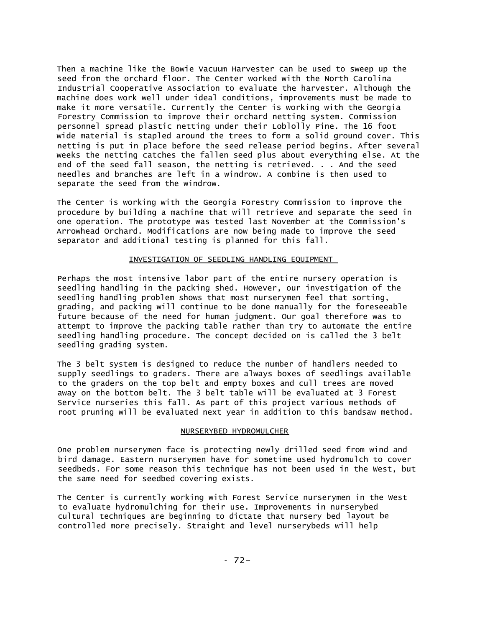Then a machine like the Bowie Vacuum Harvester can be used to sweep up the seed from the orchard floor. The Center worked with the North Carolina Industrial Cooperative Association to evaluate the harvester. Although the machine does work well under ideal conditions, improvements must be made to make it more versatile. Currently the Center is working with the Georgia Forestry Commission to improve their orchard netting system. Commission personnel spread plastic netting under their Loblolly Pine. The 16 foot wide material is stapled around the trees to form a solid ground cover. This netting is put in place before the seed release period begins. After several weeks the netting catches the fallen seed plus about everything else. At the end of the seed fall season, the netting is retrieved. . . And the seed needles and branches are left in a windrow. A combine is then used to separate the seed from the windrow.

The Center is working with the Georgia Forestry Commission to improve the procedure by building a machine that will retrieve and separate the seed in one operation. The prototype was tested last November at the Commission's Arrowhead Orchard. Modifications are now being made to improve the seed separator and additional testing is planned for this fall.

## INVESTIGATION OF SEEDLING HANDLING EQUIPMENT

Perhaps the most intensive labor part of the entire nursery operation is seedling handling in the packing shed. However, our investigation of the seedling handling problem shows that most nurserymen feel that sorting, grading, and packing will continue to be done manually for the foreseeable future because of the need for human judgment. Our goal therefore was to attempt to improve the packing table rather than try to automate the entire seedling handling procedure. The concept decided on is called the 3 belt seedling grading system.

The 3 belt system is designed to reduce the number of handlers needed to supply seedlings to graders. There are always boxes of seedlings available to the graders on the top belt and empty boxes and cull trees are moved away on the bottom belt. The 3 belt table will be evaluated at 3 Forest Service nurseries this fall. As part of this project various methods of root pruning will be evaluated next year in addition to this bandsaw method.

# NURSERYBED HYDROMULCHER

One problem nurserymen face is protecting newly drilled seed from wind and bird damage. Eastern nurserymen have for sometime used hydromulch to cover seedbeds. For some reason this technique has not been used in the West, but the same need for seedbed covering exists.

The Center is currently working with Forest Service nurserymen in the West to evaluate hydromulching for their use. Improvements in nurserybed cultural techniques are beginning to dictate that nursery bed layout be controlled more precisely. Straight and level nurserybeds will help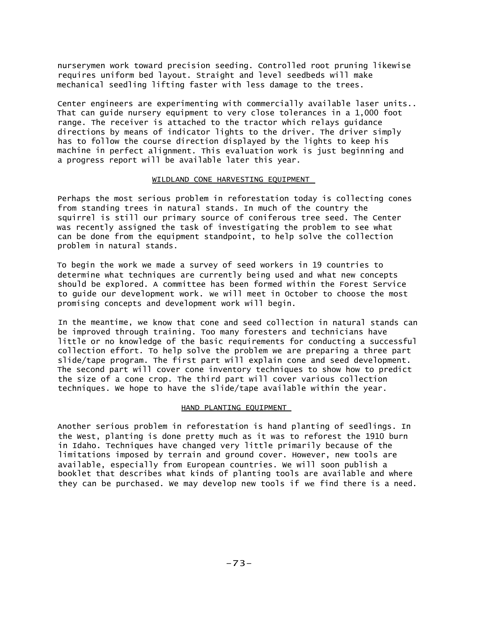nurserymen work toward precision seeding. Controlled root pruning likewise requires uniform bed layout. Straight and level seedbeds will make mechanical seedling lifting faster with less damage to the trees.

Center engineers are experimenting with commercially available laser units.. That can guide nursery equipment to very close tolerances in a 1,000 foot range. The receiver is attached to the tractor which relays guidance directions by means of indicator lights to the driver. The driver simply has to follow the course direction displayed by the lights to keep his machine in perfect alignment. This evaluation work is just beginning and a progress report will be available later this year.

## WILDLAND CONE HARVESTING EQUIPMENT

Perhaps the most serious problem in reforestation today is collecting cones from standing trees in natural stands. In much of the country the squirrel is still our primary source of coniferous tree seed. The Center was recently assigned the task of investigating the problem to see what can be done from the equipment standpoint, to help solve the collection problem in natural stands.

To begin the work we made a survey of seed workers in 19 countries to determine what techniques are currently being used and what new concepts should be explored. A committee has been formed within the Forest Service to guide our development work. We will meet in October to choose the most promising concepts and development work will begin.

In the meantime, we know that cone and seed collection in natural stands can be improved through training. Too many foresters and technicians have little or no knowledge of the basic requirements for conducting a successful collection effort. To help solve the problem we are preparing a three part slide/tape program. The first part will explain cone and seed development. The second part will cover cone inventory techniques to show how to predict the size of a cone crop. The third part will cover various collection techniques. We hope to have the slide/tape available within the year.

## HAND PLANTING EQUIPMENT

Another serious problem in reforestation is hand planting of seedlings. In the West, planting is done pretty much as it was to reforest the 1910 burn in Idaho. Techniques have changed very little primarily because of the limitations imposed by terrain and ground cover. However, new tools are available, especially from European countries. We will soon publish a booklet that describes what kinds of planting tools are available and where they can be purchased. We may develop new tools if we find there is a need.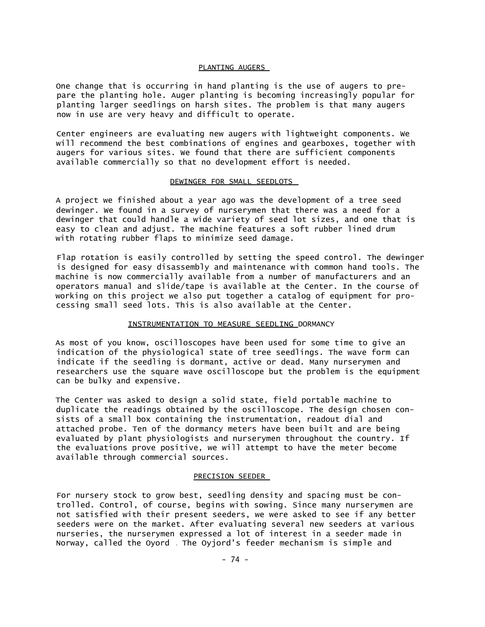#### PLANTING AUGERS

One change that is occurring in hand planting is the use of augers to prepare the planting hole. Auger planting is becoming increasingly popular for planting larger seedlings on harsh sites. The problem is that many augers now in use are very heavy and difficult to operate.

Center engineers are evaluating new augers with lightweight components. We will recommend the best combinations of engines and gearboxes, together with augers for various sites. We found that there are sufficient components available commercially so that no development effort is needed.

## DEWINGER FOR SMALL SEEDLOTS

A project we finished about a year ago was the development of a tree seed dewinger. We found in a survey of nurserymen that there was a need for a dewinger that could handle a wide variety of seed lot sizes, and one that is easy to clean and adjust. The machine features a soft rubber lined drum with rotating rubber flaps to minimize seed damage.

Flap rotation is easily controlled by setting the speed control. The dewinger is designed for easy disassembly and maintenance with common hand tools. The machine is now commercially available from a number of manufacturers and an operators manual and slide/tape is available at the Center. In the course of working on this project we also put together a catalog of equipment for processing small seed lots. This is also available at the Center.

## INSTRUMENTATION TO MEASURE SEEDLING DORMANCY

As most of you know, oscilloscopes have been used for some time to give an indication of the physiological state of tree seedlings. The wave form can indicate if the seedling is dormant, active or dead. Many nurserymen and researchers use the square wave oscilloscope but the problem is the equipment can be bulky and expensive.

The Center was asked to design a solid state, field portable machine to duplicate the readings obtained by the oscilloscope. The design chosen consists of a small box containing the instrumentation, readout dial and attached probe. Ten of the dormancy meters have been built and are being evaluated by plant physiologists and nurserymen throughout the country. If the evaluations prove positive, we will attempt to have the meter become available through commercial sources.

## PRECISION SEEDER

For nursery stock to grow best, seedling density and spacing must be controlled. Control, of course, begins with sowing. Since many nurserymen are not satisfied with their present seeders, we were asked to see if any better seeders were on the market. After evaluating several new seeders at various nurseries, the nurserymen expressed a lot of interest in a seeder made in Norway, called the Oyord . The Oyjord's feeder mechanism is simple and